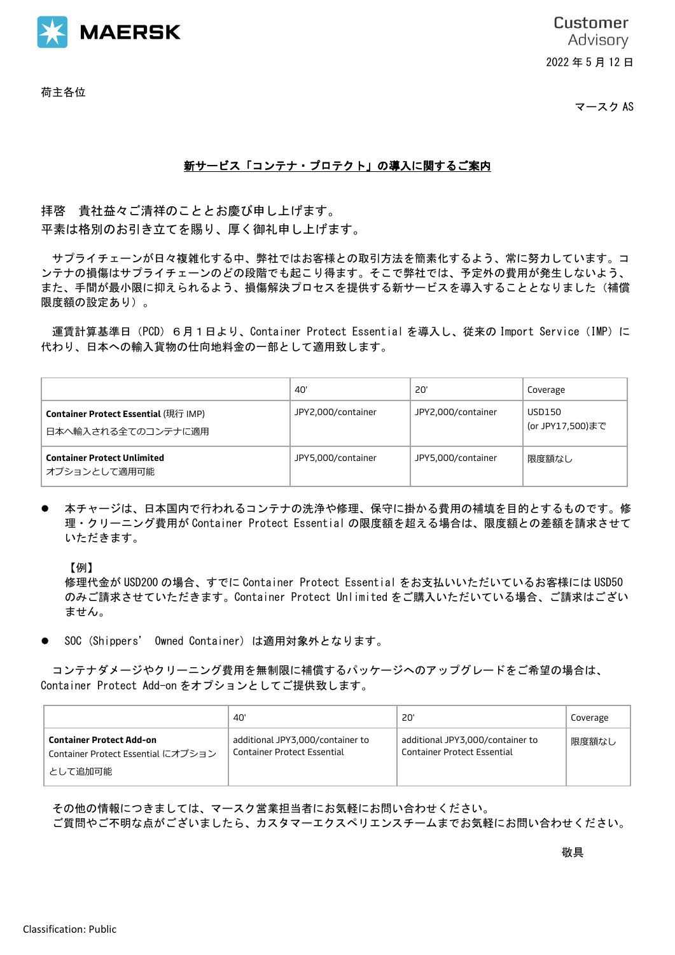

荷主各位

**Customer** Advisory 2022 年 5 月 12 日

マースク AS

## 新サービス「コンテナ・プロテクト」の導入に関するご案内

拝啓 貴社益々ご清祥のこととお慶び申し上げます。 平素は格別のお引き立てを賜り、厚く御礼申し上げます。

サプライチェーンが日々複雑化する中、弊社ではお客様との取引方法を簡素化するよう、常に努力しています。コ ンテナの損傷はサプライチェーンのどの段階でも起こり得ます。そこで弊社では、予定外の費用が発生しないよう、 また、手間が最小限に抑えられるよう、損傷解決プロセスを提供する新サービスを導入することとなりました(補償 限度額の設定あり)。

運賃計算基準日 (PCD) 6月1日より、Container Protect Essential を導入し、従来の Import Service (IMP) に 代わり、日本への輸入貨物の仕向地料金の一部として適用致します。

|                                                            | 40'                | <b>20'</b>         | Coverage                   |
|------------------------------------------------------------|--------------------|--------------------|----------------------------|
| Container Protect Essential (現行 IMP)<br>日本へ輸入される全てのコンテナに適用 | JPY2,000/container | JPY2,000/container | USD150<br>(or JPY17,500)まで |
| <b>Container Protect Unlimited</b><br>オプションとして適用可能         | JPY5,000/container | JPY5,000/container | 限度額なし                      |

⚫ 本チャージは、日本国内で行われるコンテナの洗浄や修理、保守に掛かる費用の補填を目的とするものです。修 理・クリーニング費用が Container Protect Essential の限度額を超える場合は、限度額との差額を請求させて いただきます。

【例】

修理代金が USD200 の場合、すでに Container Protect Essential をお支払いいただいているお客様には USD50 のみご請求させていただきます。Container Protect Unlimited をご購入いただいている場合、ご請求はござい ません。

⚫ SOC (Shippers' Owned Container) は適用対象外となります。

コンテナダメージやクリーニング費用を無制限に補償するパッケージへのアップグレードをご希望の場合は、 Container Protect Add-on をオプションとしてご提供致します。

|                                                                                  | 40'                                                                    | 20'                                                                    | Coverage |
|----------------------------------------------------------------------------------|------------------------------------------------------------------------|------------------------------------------------------------------------|----------|
| <b>Container Protect Add-on</b><br>Container Protect Essential にオプション<br>として追加可能 | additional JPY3,000/container to<br><b>Container Protect Essential</b> | additional JPY3,000/container to<br><b>Container Protect Essential</b> | 限度額なし    |

その他の情報につきましては、マースク営業担当者にお気軽にお問い合わせください。

ご質問やご不明な点がございましたら、カスタマーエクスペリエンスチームまでお気軽にお問い合わせください。